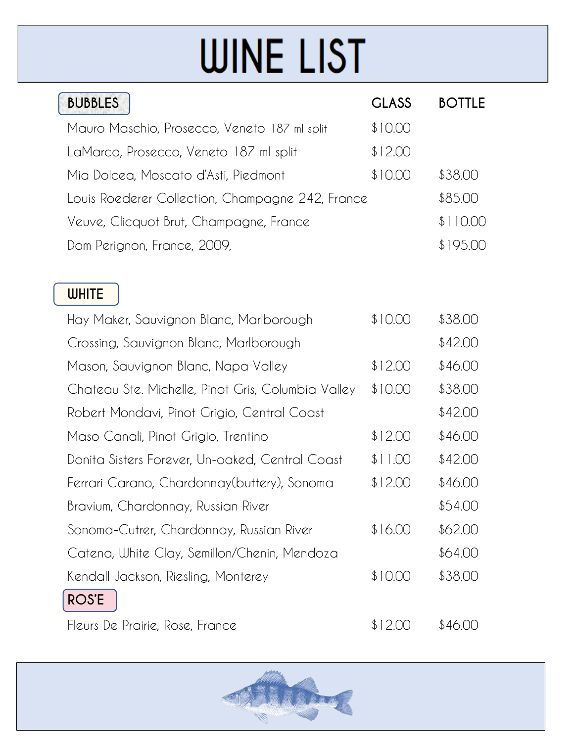## **WINE LIST**

| <b>BUBBLES</b>                                     | <b>GLASS</b> | <b>BOTTLE</b> |
|----------------------------------------------------|--------------|---------------|
| Mauro Maschio, Prosecco, Veneto 187 ml split       | \$10.00      |               |
| LaMarca, Prosecco, Veneto 187 ml split             | \$12.00      |               |
| Mia Dolcea, Moscato d'Asti, Piedmont               | \$10.00      | \$38.00       |
| Louis Roederer Collection, Champagne 242, France   |              | \$85.00       |
| Veuve, Clicquot Brut, Champagne, France            |              | \$110.00      |
| Dom Perignon, France, 2009,                        |              | \$195.00      |
|                                                    |              |               |
| <b>WHITE</b>                                       |              |               |
| Hay Maker, Sauvignon Blanc, Marlborough            | \$10.00      | \$38.00       |
| Crossing, Sauvignon Blanc, Marlborough             |              | \$42.00       |
| Mason, Sauvignon Blanc, Napa Valley                | \$12.00      | \$46.00       |
| Chateau Ste. Michelle, Pinot Gris, Columbia Valley | \$10.00      | \$38.00       |
| Robert Mondavi, Pinot Grigio, Central Coast        |              | \$42.00       |
| Maso Canali, Pinot Grigio, Trentino                | \$12.00      | \$46.00       |
| Donita Sisters Forever, Un-oaked, Central Coast    | \$11.00      | \$42.00       |
| Ferrari Carano, Chardonnay(buttery), Sonoma        | \$12.00      | \$46.00       |
| Bravium, Chardonnay, Russian River                 |              | \$54.00       |
| Sonoma-Cutrer, Chardonnay, Russian River           | \$16.00      | \$62.00       |
| Catena, White Clay, Semillon/Chenin, Mendoza       |              | \$64.00       |
| Kendall Jackson, Riesling, Monterey                | \$10.00      | \$38.00       |
| <b>ROS'E</b>                                       |              |               |
| Fleurs De Prairie, Rose, France                    | \$12.00      | \$46.00       |